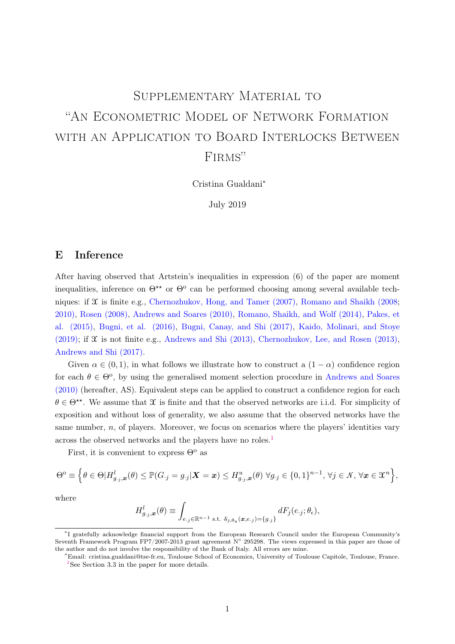# <span id="page-0-0"></span>SUPPLEMENTARY MATERIAL TO "An Econometric Model of Network Formation with an Application to Board Interlocks Between FIRMS"

Cristina Gualdani<sup>∗</sup>

July 2019

## E Inference

After having observed that Artstein's inequalities in expression (6) of the paper are moment inequalities, inference on  $\Theta^{\star\star}$  or  $\Theta^{\circ}$  can be performed choosing among several available techniques: if  $\mathfrak X$  is finite e.g., [Chernozhukov, Hong, and Tamer \(2007\),](#page-17-0) [Romano and Shaikh \(2008;](#page-17-1) [2010\),](#page-17-2) [Rosen \(2008\),](#page-18-0) [Andrews and Soares \(2010\),](#page-17-3) [Romano, Shaikh, and Wolf \(2014\),](#page-17-4) [Pakes, et](#page-17-5) [al. \(2015\),](#page-17-5) [Bugni, et al. \(2016\),](#page-17-6) [Bugni, Canay, and Shi \(2017\),](#page-17-7) [Kaido, Molinari, and Stoye](#page-17-8)  $(2019)$ ; if  $\mathfrak X$  is not finite e.g., Andrews and Shi  $(2013)$ , Chernozhukov, Lee, and Rosen  $(2013)$ , [Andrews and Shi \(2017\).](#page-17-11)

Given  $\alpha \in (0, 1)$ , in what follows we illustrate how to construct a  $(1 - \alpha)$  confidence region for each  $\theta \in \Theta^{\circ}$ , by using the generalised moment selection procedure in [Andrews and Soares](#page-17-3) [\(2010\)](#page-17-3) (hereafter, AS). Equivalent steps can be applied to construct a confidence region for each  $\theta \in \Theta^{**}$ . We assume that X is finite and that the observed networks are i.i.d. For simplicity of exposition and without loss of generality, we also assume that the observed networks have the same number,  $n$ , of players. Moreover, we focus on scenarios where the players' identities vary across the observed networks and the players have no roles.<sup>1</sup>

First, it is convenient to express  $\Theta^{\circ}$  as

$$
\Theta^{\mathrm{o}} \equiv \Big\{ \theta \in \Theta | H_{g,j,\boldsymbol{x}}^l(\theta) \leq \mathbb{P}(G_{\cdot j} = g_{\cdot j} | \boldsymbol{X} = \boldsymbol{x}) \leq H_{g,j,\boldsymbol{x}}^u(\theta) \; \forall g_{\cdot j} \in \{0,1\}^{n-1}, \, \forall j \in \mathcal{N}, \, \forall \boldsymbol{x} \in \mathfrak{X}^n \Big\},
$$

where

$$
H_{g,j,\boldsymbol{x}}^l(\theta) \equiv \int_{e,j \in \mathbb{R}^{n-1} \text{ s.t. } \delta_{j,\theta_u}(\boldsymbol{x}, e,j) = \{g_j\}} dF_j(e_j; \theta_{\epsilon}),
$$

<sup>∗</sup> I gratefully acknowledge financial support from the European Research Council under the European Community's Seventh Framework Program FP7/2007-2013 grant agreement N◦ 295298. The views expressed in this paper are those of the author and do not involve the responsibility of the Bank of Italy. All errors are mine.

<sup>∗</sup>Email: [cristina.gualdani@tse-fr.eu,](mailto:cristina.gualdani@tse-fr.eu) Toulouse School of Economics, University of Toulouse Capitole, Toulouse, France.  $1$ See Section 3.3 in the paper for more details.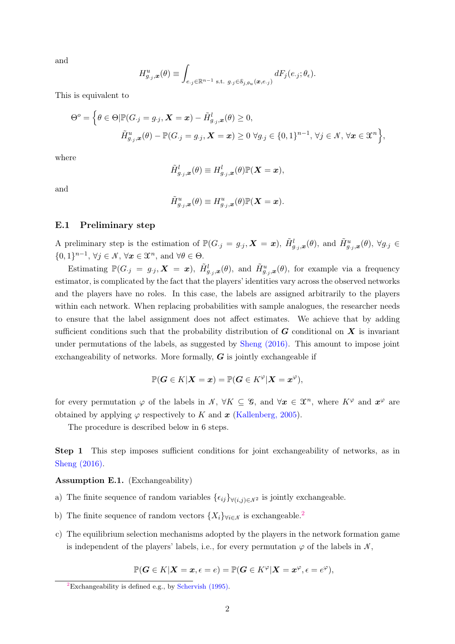and

$$
H_{g,j,\boldsymbol{x}}^u(\theta) \equiv \int_{e,j \in \mathbb{R}^{n-1} \text{ s.t. } g_j \in \mathcal{S}_{j,\theta_u}(\boldsymbol{x}, e_j)} dF_j(e_j; \theta_{\epsilon}).
$$

This is equivalent to

$$
\Theta^o = \left\{ \theta \in \Theta | \mathbb{P}(G_{\cdot j} = g_{\cdot j}, \mathbf{X} = \mathbf{x}) - \tilde{H}_{g_{\cdot j}, \mathbf{x}}^l(\theta) \ge 0, \right\}
$$
  

$$
\tilde{H}_{g_{\cdot j}, \mathbf{x}}^u(\theta) - \mathbb{P}(G_{\cdot j} = g_{\cdot j}, \mathbf{X} = \mathbf{x}) \ge 0 \ \forall g_{\cdot j} \in \{0, 1\}^{n-1}, \ \forall j \in \mathcal{N}, \ \forall \mathbf{x} \in \mathcal{X}^n \right\},
$$

where

$$
\tilde{H}_{g_{\cdot j}, \boldsymbol{x}}^{l}(\theta)\equiv H_{g_{\cdot j}, \boldsymbol{x}}^{l}(\theta)\mathbb{P}(\boldsymbol{X}=\boldsymbol{x}),
$$

and

$$
\tilde{H}^u_{g_{\cdot j}, \boldsymbol{x}} (\theta) \equiv H^u_{g_{\cdot j}, \boldsymbol{x}} (\theta) \mathbb{P}(\boldsymbol{X}=\boldsymbol{x}).
$$

#### E.1 Preliminary step

A preliminary step is the estimation of  $\mathbb{P}(G_j = g_{\cdot j}, \mathbf{X} = \mathbf{x})$ ,  $\tilde{H}^l_{g,j,\mathbf{x}}(\theta)$ , and  $\tilde{H}^u_{g,j,\mathbf{x}}(\theta)$ ,  $\forall g_{\cdot j} \in$  $\{0,1\}^{n-1}, \forall j \in \mathcal{N}, \forall x \in \mathfrak{X}^n, \text{ and } \forall \theta \in \Theta.$ 

Estimating  $\mathbb{P}(G_j = g_{\cdot j}, \mathbf{X} = \mathbf{x})$ ,  $\tilde{H}^l_{g_{\cdot j}, \mathbf{x}}(\theta)$ , and  $\tilde{H}^u_{g_{\cdot j}, \mathbf{x}}(\theta)$ , for example via a frequency estimator, is complicated by the fact that the players' identities vary across the observed networks and the players have no roles. In this case, the labels are assigned arbitrarily to the players within each network. When replacing probabilities with sample analogues, the researcher needs to ensure that the label assignment does not affect estimates. We achieve that by adding sufficient conditions such that the probability distribution of  $G$  conditional on  $X$  is invariant under permutations of the labels, as suggested by [Sheng \(2016\).](#page-17-12) This amount to impose joint exchangeability of networks. More formally,  $G$  is jointly exchangeable if

$$
\mathbb{P}(\boldsymbol{G}\in K|\boldsymbol{X}=\boldsymbol{x})=\mathbb{P}(\boldsymbol{G}\in K^{\varphi}|\boldsymbol{X}=\boldsymbol{x}^{\varphi}),
$$

for every permutation  $\varphi$  of the labels in  $\mathcal{N}, \forall K \subseteq \mathcal{G},$  and  $\forall x \in \mathcal{X}^n$ , where  $K^{\varphi}$  and  $\mathbf{x}^{\varphi}$  are obtained by applying  $\varphi$  respectively to K and  $x$  [\(Kallenberg, 2005\)](#page-17-13).

The procedure is described below in 6 steps.

Step 1 This step imposes sufficient conditions for joint exchangeability of networks, as in [Sheng \(2016\).](#page-17-12)

<span id="page-1-0"></span>Assumption E.1. (Exchangeability)

- a) The finite sequence of random variables  $\{\epsilon_{ij}\}_{\forall (i,j)\in\mathcal{N}^2}$  is jointly exchangeable.
- b) The finite sequence of random vectors  $\{X_i\}_{\forall i\in\mathcal{N}}$  is exchangeable.<sup>2</sup>
- c) The equilibrium selection mechanisms adopted by the players in the network formation game is independent of the players' labels, i.e., for every permutation  $\varphi$  of the labels in N,

$$
\mathbb{P}(\textbf{\textit{G}} \in K \vert \textbf{\textit{X}} = \textbf{\textit{x}}, \epsilon = e) = \mathbb{P}(\textbf{\textit{G}} \in K^{\varphi} \vert \textbf{\textit{X}} = \textbf{\textit{x}}^{\varphi}, \epsilon = e^{\varphi}),
$$

<sup>&</sup>lt;sup>2</sup>Exchangeability is defined e.g., by Schervish  $(1995)$ .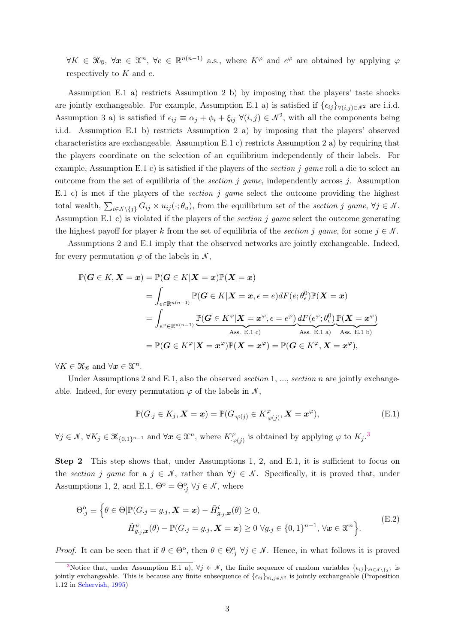$\forall K \in \mathcal{K}_{\mathcal{G}}, \ \forall x \in \mathfrak{X}^n, \ \forall e \in \mathbb{R}^{n(n-1)}$  a.s., where  $K^{\varphi}$  and  $e^{\varphi}$  are obtained by applying  $\varphi$ respectively to  $K$  and  $e$ .

Assumption [E.1](#page-1-0) a) restricts Assumption [2](#page-0-0) b) by imposing that the players' taste shocks are jointly exchangeable. For example, Assumption [E.1](#page-1-0) a) is satisfied if  $\{\epsilon_{ij}\}\forall(i,j)\in\mathcal{N}^2$  are i.i.d. Assumption [3](#page-0-0) a) is satisfied if  $\epsilon_{ij} \equiv \alpha_j + \phi_i + \xi_{ij} \ \forall (i,j) \in \mathcal{N}^2$ , with all the components being i.i.d. Assumption [E.1](#page-1-0) b) restricts Assumption [2](#page-0-0) a) by imposing that the players' observed characteristics are exchangeable. Assumption [E.1](#page-1-0) c) restricts Assumption [2](#page-0-0) a) by requiring that the players coordinate on the selection of an equilibrium independently of their labels. For example, Assumption [E.1](#page-1-0) c) is satisfied if the players of the *section j game* roll a die to select an outcome from the set of equilibria of the *section j game*, independently across j. Assumption [E.1](#page-1-0) c) is met if the players of the *section j game* select the outcome providing the highest total wealth,  $\sum_{i\in\mathcal{N}\setminus\{j\}} G_{ij} \times u_{ij}(\cdot;\theta_u)$ , from the equilibrium set of the section j game,  $\forall j \in \mathcal{N}$ . Assumption [E.1](#page-1-0) c) is violated if the players of the *section j game* select the outcome generating the highest payoff for player k from the set of equilibria of the section j game, for some  $j \in \mathcal{N}$ .

Assumptions [2](#page-0-0) and [E.1](#page-1-0) imply that the observed networks are jointly exchangeable. Indeed, for every permutation  $\varphi$  of the labels in N,

$$
\mathbb{P}(G \in K, \mathbf{X} = \mathbf{x}) = \mathbb{P}(G \in K | \mathbf{X} = \mathbf{x}) \mathbb{P}(\mathbf{X} = \mathbf{x})
$$
\n
$$
= \int_{e \in \mathbb{R}^{n(n-1)}} \mathbb{P}(G \in K | \mathbf{X} = \mathbf{x}, \epsilon = e) dF(e; \theta_{\epsilon}^{0}) \mathbb{P}(\mathbf{X} = \mathbf{x})
$$
\n
$$
= \int_{e^{\varphi} \in \mathbb{R}^{n(n-1)}} \underbrace{\mathbb{P}(G \in K^{\varphi} | \mathbf{X} = \mathbf{x}^{\varphi}, \epsilon = e^{\varphi})}_{\text{Ass. E.1 c)}} \underbrace{dF(e^{\varphi}; \theta_{\epsilon}^{0})}_{\text{Ass. E.1 a)}} \underbrace{\mathbb{P}(\mathbf{X} = \mathbf{x}^{\varphi})}_{\text{Ass. E.1 b)}}
$$
\n
$$
= \mathbb{P}(G \in K^{\varphi} | \mathbf{X} = \mathbf{x}^{\varphi}) \mathbb{P}(\mathbf{X} = \mathbf{x}^{\varphi}) = \mathbb{P}(G \in K^{\varphi}, \mathbf{X} = \mathbf{x}^{\varphi}),
$$

 $\forall K \in \mathcal{K}_\mathcal{G}$  and  $\forall x \in \mathcal{X}^n$ .

Under Assumptions [2](#page-0-0) and [E.1,](#page-1-0) also the observed section 1, ..., section n are jointly exchangeable. Indeed, for every permutation  $\varphi$  of the labels in  $\mathcal{N}$ ,

<span id="page-2-0"></span>
$$
\mathbb{P}(G_{\cdot j} \in K_j, \mathbf{X} = \mathbf{x}) = \mathbb{P}(G_{\cdot \varphi(j)} \in K^{\varphi}_{\cdot \varphi(j)}, \mathbf{X} = \mathbf{x}^{\varphi}),
$$
\n(E.1)

 $\forall j \in \mathcal{N}, \forall K_j \in \mathcal{K}_{\{0,1\}^{n-1}} \text{ and } \forall \mathbf{x} \in \mathcal{X}^n, \text{ where } K^{\varphi}_{\cdot, \omega}$  $\mathcal{L}_{\varphi(j)}^{\varphi}$  is obtained by applying  $\varphi$  to  $K_j$ .<sup>3</sup>

Step 2 This step shows that, under Assumptions [1,](#page-0-0) [2,](#page-0-0) and [E.1,](#page-1-0) it is sufficient to focus on the section j game for a  $j \in \mathcal{N}$ , rather than  $\forall j \in \mathcal{N}$ . Specifically, it is proved that, under Assumptions [1,](#page-0-0) [2,](#page-0-0) and [E.1,](#page-1-0)  $\Theta^{\text{o}} = \Theta^{\text{o}}_{\cdot j}$   $\forall j \in \mathcal{N}$ , where

<span id="page-2-1"></span>
$$
\Theta_{\cdot j}^{\circ} \equiv \left\{ \theta \in \Theta | \mathbb{P}(G_{\cdot j} = g_{\cdot j}, \mathbf{X} = \mathbf{x}) - \tilde{H}_{g_{\cdot j}, \mathbf{x}}^{l}(\theta) \ge 0, \right. \\
\widetilde{H}_{g_{\cdot j}, \mathbf{x}}^{u}(\theta) - \mathbb{P}(G_{\cdot j} = g_{\cdot j}, \mathbf{X} = \mathbf{x}) \ge 0 \ \forall g_{\cdot j} \in \{0, 1\}^{n-1}, \ \forall \mathbf{x} \in \mathfrak{X}^{n} \right\}.
$$
\n(E.2)

*Proof.* It can be seen that if  $\theta \in \Theta^{\circ}$ , then  $\theta \in \Theta^{\circ}$ ,  $\forall j \in \mathcal{N}$ . Hence, in what follows it is proved

<sup>&</sup>lt;sup>3</sup>Notice that, under Assumption [E.1](#page-1-0) a),  $\forall j \in \mathcal{N}$ , the finite sequence of random variables  $\{\epsilon_{ij}\}_{\forall i \in \mathcal{N}\setminus\{j\}}$  is jointly exchangeable. This is because any finite subsequence of  $\{\epsilon_{ij}\}_{\forall i,j\in\mathbb{N}^2}$  is jointly exchangeable (Proposition 1.12 in [Schervish, 1995\)](#page-17-14)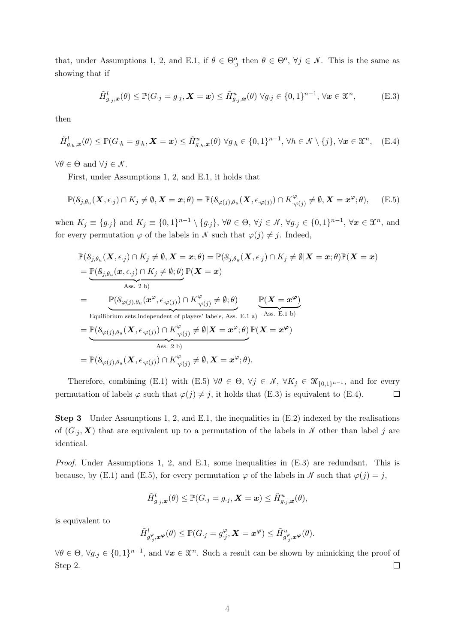that, under Assumptions [1,](#page-0-0) [2,](#page-0-0) and [E.1,](#page-1-0) if  $\theta \in \Theta_{j}^{\circ}$  then  $\theta \in \Theta^{\circ}$ ,  $\forall j \in \mathcal{N}$ . This is the same as showing that if

<span id="page-3-1"></span>
$$
\tilde{H}_{g,j,\boldsymbol{x}}^l(\theta) \leq \mathbb{P}(G_j = g_{\cdot j}, \boldsymbol{X} = \boldsymbol{x}) \leq \tilde{H}_{g,j,\boldsymbol{x}}^u(\theta) \ \forall g_{\cdot j} \in \{0,1\}^{n-1}, \ \forall \boldsymbol{x} \in \mathfrak{X}^n,\tag{E.3}
$$

then

<span id="page-3-2"></span>
$$
\tilde{H}_{g,h,\boldsymbol{x}}^l(\theta) \leq \mathbb{P}(G_h = g_h, \boldsymbol{X} = \boldsymbol{x}) \leq \tilde{H}_{g,h,\boldsymbol{x}}^u(\theta) \,\forall g_h \in \{0,1\}^{n-1}, \,\forall h \in \mathcal{N} \setminus \{j\}, \,\forall \boldsymbol{x} \in \mathfrak{X}^n, \quad \text{(E.4)}
$$

 $\forall \theta \in \Theta \text{ and } \forall j \in \mathcal{N}.$ 

First, under Assumptions [1,](#page-0-0) [2,](#page-0-0) and [E.1,](#page-1-0) it holds that

<span id="page-3-0"></span>
$$
\mathbb{P}(\mathcal{S}_{j,\theta_u}(\boldsymbol{X},\epsilon_j)\cap K_j\neq\emptyset,\boldsymbol{X}=\boldsymbol{x};\theta)=\mathbb{P}(\mathcal{S}_{\varphi(j),\theta_u}(\boldsymbol{X},\epsilon_{\cdot\varphi(j)})\cap K_{\cdot\varphi(j)}^{\varphi}\neq\emptyset,\boldsymbol{X}=\boldsymbol{x}^{\varphi};\theta),\quad \ (\textrm{E.5})
$$

when  $K_j \equiv \{g_{\cdot j}\}\$  and  $K_j \equiv \{0,1\}^{n-1} \setminus \{g_{\cdot j}\}\$ ,  $\forall \theta \in \Theta$ ,  $\forall j \in \mathcal{N}$ ,  $\forall g_{\cdot j} \in \{0,1\}^{n-1}$ ,  $\forall x \in \mathcal{X}^n$ , and for every permutation  $\varphi$  of the labels in N such that  $\varphi(j) \neq j$ . Indeed,

$$
\mathbb{P}(\mathcal{S}_{j,\theta_u}(X,\epsilon_{\cdot j}) \cap K_j \neq \emptyset, \mathbf{X} = \mathbf{x}; \theta) = \mathbb{P}(\mathcal{S}_{j,\theta_u}(X,\epsilon_{\cdot j}) \cap K_j \neq \emptyset | \mathbf{X} = \mathbf{x}; \theta) \mathbb{P}(\mathbf{X} = \mathbf{x})
$$
\n
$$
= \underbrace{\mathbb{P}(\mathcal{S}_{j,\theta_u}(\mathbf{x},\epsilon_{\cdot j}) \cap K_j \neq \emptyset; \theta)}_{\text{Ass. 2 b}} \mathbb{P}(\mathbf{X} = \mathbf{x})}
$$
\n
$$
= \underbrace{\mathbb{P}(\mathcal{S}_{\varphi(j),\theta_u}(\mathbf{x}^{\varphi},\epsilon_{\cdot \varphi(j)}) \cap K^{\varphi}_{,\varphi(j)} \neq \emptyset; \theta)}_{\text{Equilibrium sets independent of players' labels, Ass. E.1 a)}} \underbrace{\mathbb{P}(\mathbf{X} = \mathbf{x}^{\varphi})}_{\text{Ass. E.1 b)}}
$$
\n
$$
= \underbrace{\mathbb{P}(\mathcal{S}_{\varphi(j),\theta_u}(X,\epsilon_{\cdot \varphi(j)}) \cap K^{\varphi}_{,\varphi(j)} \neq \emptyset | \mathbf{X} = \mathbf{x}^{\varphi}; \theta)}_{\text{Ass. 2 b)}} \mathbb{P}(\mathbf{X} = \mathbf{x}^{\varphi})}
$$
\n
$$
= \mathbb{P}(\mathcal{S}_{\varphi(j),\theta_u}(X,\epsilon_{\cdot \varphi(j)}) \cap K^{\varphi}_{,\varphi(j)} \neq \emptyset, \mathbf{X} = \mathbf{x}^{\varphi}; \theta).
$$

Therefore, combining [\(E.1\)](#page-2-0) with [\(E.5\)](#page-3-0)  $\forall \theta \in \Theta$ ,  $\forall j \in \mathcal{N}$ ,  $\forall K_j \in \mathcal{K}_{\{0,1\}^{n-1}}$ , and for every permutation of labels  $\varphi$  such that  $\varphi(j) \neq j$ , it holds that [\(E.3\)](#page-3-1) is equivalent to [\(E.4\)](#page-3-2).  $\Box$ 

**Step 3** Under Assumptions [1,](#page-0-0) [2,](#page-0-0) and [E.1,](#page-1-0) the inequalities in  $(E.2)$  indexed by the realisations of  $(G_i, X)$  that are equivalent up to a permutation of the labels in N other than label j are identical.

Proof. Under Assumptions [1,](#page-0-0) [2,](#page-0-0) and [E.1,](#page-1-0) some inequalities in [\(E.3\)](#page-3-1) are redundant. This is because, by [\(E.1\)](#page-2-0) and [\(E.5\)](#page-3-0), for every permutation  $\varphi$  of the labels in N such that  $\varphi(j) = j$ ,

$$
\tilde{H}_{g_j,\boldsymbol{x}}^{l}(\theta) \leq \mathbb{P}(G_{\cdot j} = g_{\cdot j}, \boldsymbol{X} = \boldsymbol{x}) \leq \tilde{H}_{g_{\cdot j},\boldsymbol{x}}^{u}(\theta),
$$

is equivalent to

$$
\tilde{H}^l_{g^\varphi_{\cdot j},\boldsymbol{x}^{\boldsymbol{\varphi}}}(\theta) \leq \mathbb{P}(G_{\cdot j} = g^\varphi_{\cdot j}, \boldsymbol{X} = \boldsymbol{x}^{\boldsymbol{\varphi}}) \leq \tilde{H}^u_{g^\varphi_{\cdot j},\boldsymbol{x}^{\boldsymbol{\varphi}}}(\theta).
$$

 $\forall \theta \in \Theta$ ,  $\forall g_{\cdot j} \in \{0,1\}^{n-1}$ , and  $\forall x \in \mathfrak{X}^n$ . Such a result can be shown by mimicking the proof of Step 2.  $\Box$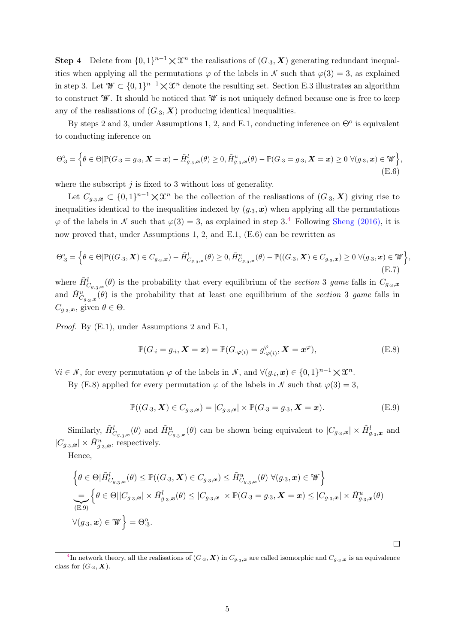**Step 4** Delete from  $\{0,1\}^{n-1} \times \mathcal{X}^n$  the realisations of  $(G_{\cdot3}, \mathbf{X})$  generating redundant inequalities when applying all the permutations  $\varphi$  of the labels in N such that  $\varphi(3) = 3$ , as explained in step 3. Let  $\mathcal{W} \subset \{0,1\}^{n-1} \times \mathcal{X}^n$  denote the resulting set. Section [E.3](#page-7-0) illustrates an algorithm to construct W. It should be noticed that W is not uniquely defined because one is free to keep any of the realisations of  $(G_{3}, X)$  producing identical inequalities.

By steps 2 and 3, under Assumptions [1,](#page-0-0) [2,](#page-0-0) and [E.1,](#page-1-0) conducting inference on  $\Theta^{\text{o}}$  is equivalent to conducting inference on

<span id="page-4-0"></span>
$$
\Theta^{\circ}_{\cdot 3} = \Big\{ \theta \in \Theta | \mathbb{P}(G_{\cdot 3} = g_{\cdot 3}, \mathbf{X} = \mathbf{x}) - \tilde{H}_{g_{\cdot 3}, \mathbf{x}}^{l}(\theta) \ge 0, \tilde{H}_{g_{\cdot 3}, \mathbf{x}}^{u}(\theta) - \mathbb{P}(G_{\cdot 3} = g_{\cdot 3}, \mathbf{X} = \mathbf{x}) \ge 0 \ \forall (g_{\cdot 3}, \mathbf{x}) \in \mathcal{W} \Big\},\tag{E.6}
$$

where the subscript  $j$  is fixed to 3 without loss of generality.

Let  $C_{g_0,x} \subset \{0,1\}^{n-1} \times \mathcal{X}^n$  be the collection of the realisations of  $(G_{0,3},\mathbf{X})$  giving rise to inequalities identical to the inequalities indexed by  $(g_3, x)$  when applying all the permutations  $\varphi$  of the labels in N such that  $\varphi(3) = 3$ , as explained in step 3.<sup>4</sup> Following [Sheng \(2016\),](#page-17-12) it is now proved that, under Assumptions [1,](#page-0-0) [2,](#page-0-0) and [E.1,](#page-1-0) [\(E.6\)](#page-4-0) can be rewritten as

<span id="page-4-3"></span>
$$
\Theta_{\cdot 3}^{o} = \Big\{ \theta \in \Theta | \mathbb{P}((G_{\cdot 3}, \mathbf{X}) \in C_{g_{\cdot 3}, \mathbf{x}}) - \tilde{H}_{C_{g_{\cdot 3}, \mathbf{x}}}^{l}(\theta) \ge 0, \tilde{H}_{C_{g_{\cdot 3}, \mathbf{x}}}^{u}(\theta) - \mathbb{P}((G_{\cdot 3}, \mathbf{X}) \in C_{g_{\cdot 3}, \mathbf{x}}) \ge 0 \ \forall (g_{\cdot 3}, \mathbf{x}) \in \mathcal{W} \Big\},
$$
\n(E.7)

where  $\tilde{H}^l_{C_{g,3},x}(\theta)$  is the probability that every equilibrium of the section 3 game falls in  $C_{g,3},x$ and  $\tilde{H}^u_{C_{g,3},\omega}(\theta)$  is the probability that at least one equilibrium of the section 3 game falls in  $C_{q,3,\boldsymbol{x}},$  given  $\theta \in \Theta$ .

Proof. By [\(E.1\)](#page-2-0), under Assumptions [2](#page-0-0) and [E.1,](#page-1-0)

<span id="page-4-1"></span>
$$
\mathbb{P}(G_{i}=g_{i}, \mathbf{X}=\boldsymbol{x})=\mathbb{P}(G_{\cdot\varphi(i)}=g_{\cdot\varphi(i)}^{\varphi}, \mathbf{X}=\boldsymbol{x}^{\varphi}),
$$
\n(E.8)

 $\forall i \in \mathcal{N},$  for every permutation  $\varphi$  of the labels in  $\mathcal{N}$ , and  $\forall (g_{\cdot i}, \mathbf{x}) \in \{0, 1\}^{n-1} \times \mathfrak{X}^n$ .

By [\(E.8\)](#page-4-1) applied for every permutation  $\varphi$  of the labels in N such that  $\varphi(3) = 3$ .

<span id="page-4-2"></span>
$$
\mathbb{P}((G_{.3}, \mathbf{X}) \in C_{g_{.3},x}) = |C_{g_{.3},x}| \times \mathbb{P}(G_{.3} = g_{.3}, \mathbf{X} = x). \tag{E.9}
$$

 $\Box$ 

Similarly,  $\tilde{H}^l_{C_{g,3,x}}(\theta)$  and  $\tilde{H}^u_{C_{g,3,x}}(\theta)$  can be shown being equivalent to  $|C_{g,3,x}| \times \tilde{H}^l_{g,3,x}$  and  $|C_{g_3,x}| \times \tilde{H}^u_{g_3,x}$ , respectively.

Hence,

$$
\left\{\theta \in \Theta | \tilde{H}_{C_{g,3},x}^{l}(\theta) \leq \mathbb{P}((G_{\cdot3},\mathbf{X}) \in C_{g,3,x}) \leq \tilde{H}_{C_{g,3},x}^{u}(\theta) \ \forall (g_{\cdot3},\mathbf{x}) \in \mathcal{W} \right\}
$$
\n
$$
\sum_{\substack{(\mathbf{E},9) \\ (\mathbf{E},9)}} \left\{\theta \in \Theta | |C_{g,3},\mathbf{x}| \times \tilde{H}_{g,3,x}^{l}(\theta) \leq |C_{g,3},\mathbf{x}| \times \mathbb{P}(G_{\cdot3} = g_{\cdot3},\mathbf{X} = \mathbf{x}) \leq |C_{g,3},\mathbf{x}| \times \tilde{H}_{g,3,x}^{u}(\theta) \right\}
$$
\n
$$
\forall (g_{\cdot3},\mathbf{x}) \in \mathcal{W} \right\} = \Theta_{\cdot3}^{\circ}.
$$

<sup>&</sup>lt;sup>4</sup>In network theory, all the realisations of  $(G_{\cdot3}, \mathbf{X})$  in  $C_{g_{\cdot3},\mathbf{x}}$  are called isomorphic and  $C_{g_{\cdot3},\mathbf{x}}$  is an equivalence class for  $(G_{\cdot3}, \mathbf{X})$ .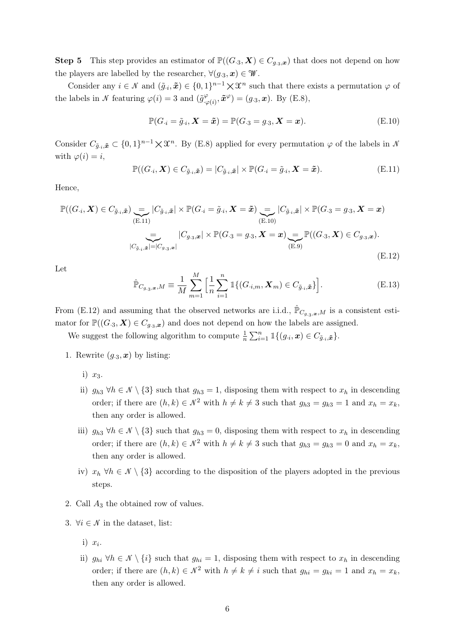**Step 5** This step provides an estimator of  $\mathbb{P}((G_{.3}, \boldsymbol{X}) \in C_{g_{.3},x})$  that does not depend on how the players are labelled by the researcher,  $\forall (g_3, \mathbf{x}) \in \mathcal{W}$ .

Consider any  $i \in \mathcal{N}$  and  $(\tilde{g}_{i}, \tilde{x}) \in \{0,1\}^{n-1} \times \mathcal{X}^{n}$  such that there exists a permutation  $\varphi$  of the labels in N featuring  $\varphi(i) = 3$  and  $(\tilde{g}_{i}^{\varphi})$  $\mathbf{E}^{\varphi}_{\varphi(i)}, \tilde{\mathbf{x}}^{\varphi}\big) = (g_{\cdot3}, \mathbf{x}). \text{ By (E.8)},$  $\mathbf{E}^{\varphi}_{\varphi(i)}, \tilde{\mathbf{x}}^{\varphi}\big) = (g_{\cdot3}, \mathbf{x}). \text{ By (E.8)},$  $\mathbf{E}^{\varphi}_{\varphi(i)}, \tilde{\mathbf{x}}^{\varphi}\big) = (g_{\cdot3}, \mathbf{x}). \text{ By (E.8)},$ 

<span id="page-5-1"></span>
$$
\mathbb{P}(G_{\cdot i} = \tilde{g}_{\cdot i}, \mathbf{X} = \tilde{\boldsymbol{x}}) = \mathbb{P}(G_{\cdot 3} = g_{\cdot 3}, \mathbf{X} = \boldsymbol{x}).\tag{E.10}
$$

Consider  $C_{\tilde{g}_{i},\tilde{x}} \subset \{0,1\}^{n-1} \times \mathfrak{X}^{n}$ . By [\(E.8\)](#page-4-1) applied for every permutation  $\varphi$  of the labels in  $\mathcal N$ with  $\varphi(i) = i$ ,

<span id="page-5-0"></span>
$$
\mathbb{P}((G_{\cdot i}, \boldsymbol{X}) \in C_{\tilde{g}_{\cdot i}, \tilde{\boldsymbol{x}}}) = |C_{\tilde{g}_{\cdot i}, \tilde{\boldsymbol{x}}}| \times \mathbb{P}(G_{\cdot i} = \tilde{g}_{\cdot i}, \boldsymbol{X} = \tilde{\boldsymbol{x}}). \tag{E.11}
$$

Hence,

<span id="page-5-2"></span>
$$
\mathbb{P}((G_{\cdot i}, \mathbf{X}) \in C_{\tilde{g}_{\cdot i}, \tilde{\mathbf{x}}}) \underbrace{=} |C_{\tilde{g}_{\cdot i}, \tilde{\mathbf{x}}}| \times \mathbb{P}(G_{\cdot i} = \tilde{g}_{\cdot i}, \mathbf{X} = \tilde{\mathbf{x}}) \underbrace{=} |C_{\tilde{g}_{\cdot i}, \tilde{\mathbf{x}}}| \times \mathbb{P}(G_{\cdot 3} = g_{\cdot 3}, \mathbf{X} = \mathbf{x})
$$
\n
$$
\underbrace{=} |C_{g_{\cdot 3}, \mathbf{x}}| \times \mathbb{P}(G_{\cdot 3} = g_{\cdot 3}, \mathbf{X} = \mathbf{x}) \underbrace{=} \mathbb{P}((G_{\cdot 3}, \mathbf{X}) \in C_{g_{\cdot 3}, \mathbf{x}}).
$$
\n
$$
|C_{\tilde{g}_{\cdot i}, \tilde{\mathbf{x}}}| = |C_{g_{\cdot 3}, \mathbf{x}}|
$$
\n(E.12)

Let

$$
\hat{\mathbb{P}}_{C_{g,3},\mathbf{x},M} \equiv \frac{1}{M} \sum_{m=1}^{M} \left[ \frac{1}{n} \sum_{i=1}^{n} \mathbb{1} \{ (G_{i,m}, \mathbf{X}_{m}) \in C_{\tilde{g}_{i},\tilde{\mathbf{x}}} \} \right].
$$
\n(E.13)

From [\(E.12\)](#page-5-2) and assuming that the observed networks are i.i.d.,  $\hat{P}_{C_{q,3},x,M}$  is a consistent estimator for  $\mathbb{P}((G_{.3}, \boldsymbol{X}) \in C_{g_{.3},x})$  and does not depend on how the labels are assigned.

We suggest the following algorithm to compute  $\frac{1}{n} \sum_{i=1}^{n} \mathbb{1}\{(g_i, \mathbf{x}) \in C_{\tilde{g}_i, \tilde{\mathbf{x}}}\}.$ 

- 1. Rewrite  $(g_3, x)$  by listing:
	- i)  $x_3$ .
	- ii)  $g_{h3} \forall h \in \mathcal{N} \setminus \{3\}$  such that  $g_{h3} = 1$ , disposing them with respect to  $x_h$  in descending order; if there are  $(h, k) \in \mathcal{N}^2$  with  $h \neq k \neq 3$  such that  $g_{h3} = g_{k3} = 1$  and  $x_h = x_k$ , then any order is allowed.
	- iii)  $g_{h3} \forall h \in \mathcal{N} \setminus \{3\}$  such that  $g_{h3} = 0$ , disposing them with respect to  $x_h$  in descending order; if there are  $(h, k) \in \mathcal{N}^2$  with  $h \neq k \neq 3$  such that  $g_{h3} = g_{k3} = 0$  and  $x_h = x_k$ , then any order is allowed.
	- iv)  $x_h \forall h \in \mathcal{N} \setminus \{3\}$  according to the disposition of the players adopted in the previous steps.
- 2. Call  $A_3$  the obtained row of values.
- 3.  $\forall i \in \mathcal{N}$  in the dataset, list:
	- i)  $x_i$ .
	- ii)  $g_{hi} \forall h \in \mathcal{N} \setminus \{i\}$  such that  $g_{hi} = 1$ , disposing them with respect to  $x_h$  in descending order; if there are  $(h, k) \in \mathcal{N}^2$  with  $h \neq k \neq i$  such that  $g_{hi} = g_{ki} = 1$  and  $x_h = x_k$ , then any order is allowed.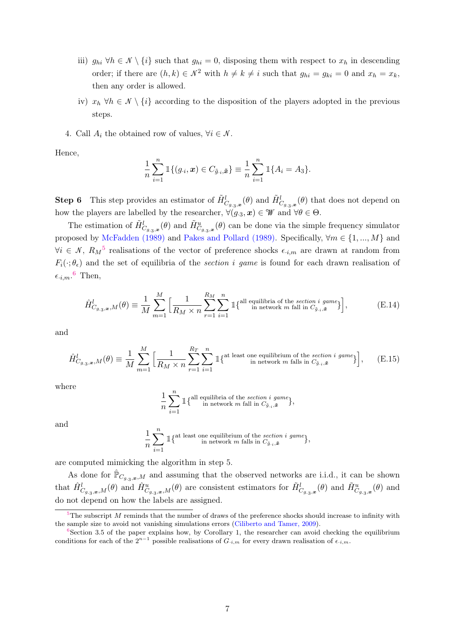- iii)  $g_{hi} \,\forall h \in \mathcal{N} \setminus \{i\}$  such that  $g_{hi} = 0$ , disposing them with respect to  $x_h$  in descending order; if there are  $(h, k) \in \mathcal{N}^2$  with  $h \neq k \neq i$  such that  $g_{hi} = g_{ki} = 0$  and  $x_h = x_k$ , then any order is allowed.
- iv)  $x_h \forall h \in \mathcal{N} \setminus \{i\}$  according to the disposition of the players adopted in the previous steps.
- 4. Call  $A_i$  the obtained row of values,  $\forall i \in \mathcal{N}$ .

Hence,

$$
\frac{1}{n}\sum_{i=1}^n \mathbb{1}\{(g_{\cdot i}, x) \in C_{\tilde{g}_{\cdot i}, \tilde{x}}\} \equiv \frac{1}{n}\sum_{i=1}^n \mathbb{1}\{A_i = A_3\}.
$$

**Step 6** This step provides an estimator of  $\tilde{H}^l_{C_{g,3},x}(\theta)$  and  $\tilde{H}^l_{C_{g,3},x}(\theta)$  that does not depend on how the players are labelled by the researcher,  $\forall (g_3, \mathbf{x}) \in \mathcal{W}$  and  $\forall \theta \in \Theta$ .

The estimation of  $\tilde{H}^l_{C_{g,3},x}(\theta)$  and  $\tilde{H}^u_{C_{g,3},x}(\theta)$  can be done via the simple frequency simulator proposed by [McFadden \(1989\)](#page-0-0) and [Pakes and Pollard \(1989\).](#page-0-0) Specifically,  $\forall m \in \{1, ..., M\}$  and  $\forall i \in \mathcal{N}, R_M^5$  realisations of the vector of preference shocks  $\epsilon_{i,m}$  are drawn at random from  $F_i(\cdot;\theta_\epsilon)$  and the set of equilibria of the section i game is found for each drawn realisation of  $\epsilon_{i,m}$ .<sup>6</sup> Then,

$$
\hat{H}_{C_{g,g,\mathbf{x}},M}^l(\theta) \equiv \frac{1}{M} \sum_{m=1}^M \Big[ \frac{1}{R_M \times n} \sum_{r=1}^{R_M} \sum_{i=1}^n \mathbb{1} \{^{all \text{ equilibria of the section } i \text{ game}} \} \Big],\tag{E.14}
$$

and

$$
\hat{H}_{C_{g,3},x,M}^l(\theta) \equiv \frac{1}{M} \sum_{m=1}^M \Big[ \frac{1}{R_M \times n} \sum_{r=1}^{R_T} \sum_{i=1}^n \mathbb{1} \{^{at \text{ least one equilibrium of the section } i \text{ game}} \} \Big], \qquad (E.15)
$$

where

$$
\frac{1}{n}\sum_{i=1}^{n} \mathbb{1}\{\begin{matrix} \text{all equilibria of the section } i \text{ game} \\ \text{in network } m \text{ fall in } C_{\tilde{g}_{\cdot i}, \tilde{\boldsymbol{x}}} \end{matrix}\},
$$

and

$$
\frac{1}{n}\sum_{i=1}^n \mathbbm{1}\{\begin{smallmatrix} \text{at least one equilibrium of the section i game} \\ \text{in network $m$ falls in $C_{\tilde{g}_{\cdot i}, \tilde{\boldsymbol{x}}}$} \end{smallmatrix} \},
$$

are computed mimicking the algorithm in step 5.

As done for  $\mathbb{P}_{C_{g,n},x,M}$  and assuming that the observed networks are i.i.d., it can be shown that  $\hat{H}^l_{C_{g,3},x,M}(\theta)$  and  $\hat{H}^u_{C_{g,3},x,M}(\theta)$  are consistent estimators for  $\tilde{H}^l_{C_{g,3},x}(\theta)$  and  $\tilde{H}^u_{C_{g,3},x}(\theta)$  and do not depend on how the labels are assigned.

<sup>&</sup>lt;sup>5</sup>The subscript M reminds that the number of draws of the preference shocks should increase to infinity with the sample size to avoid not vanishing simulations errors [\(Ciliberto and Tamer, 2009\)](#page-17-15).

 $6$ Section [3.5](#page-0-0) of the paper explains how, by Corollary [1,](#page-0-0) the researcher can avoid checking the equilibrium conditions for each of the  $2^{n-1}$  possible realisations of  $G_{i,m}$  for every drawn realisation of  $\epsilon_{i,m}$ .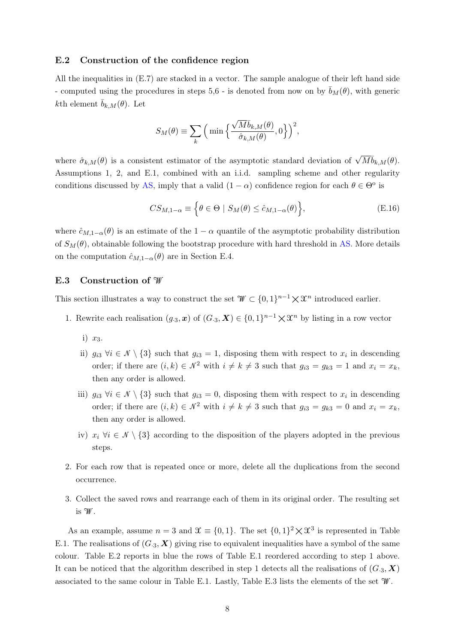#### E.2 Construction of the confidence region

All the inequalities in [\(E.7\)](#page-4-3) are stacked in a vector. The sample analogue of their left hand side - computed using the procedures in steps 5,6 - is denoted from now on by  $\bar{b}_M(\theta)$ , with generic kth element  $b_{k,M}(\theta)$ . Let

$$
S_M(\theta) \equiv \sum_{k} \Big( \min \Big\{ \frac{\sqrt{M} \bar{b}_{k,M}(\theta)}{\hat{\sigma}_{k,M}(\theta)}, 0 \Big\} \Big)^2,
$$

where  $\hat{\sigma}_{k,M}(\theta)$  is a consistent estimator of the asymptotic standard deviation of  $\sqrt{M} \overline{b}_{k,M}(\theta)$ . Assumptions [1,](#page-0-0) [2,](#page-0-0) and [E.1,](#page-1-0) combined with an i.i.d. sampling scheme and other regularity conditions discussed by [AS,](#page-17-3) imply that a valid  $(1 - \alpha)$  confidence region for each  $\theta \in \Theta^{\circ}$  is

$$
CS_{M,1-\alpha} \equiv \left\{ \theta \in \Theta \mid S_M(\theta) \le \hat{c}_{M,1-\alpha}(\theta) \right\},\tag{E.16}
$$

where  $\hat{c}_{M,1-\alpha}(\theta)$  is an estimate of the 1 –  $\alpha$  quantile of the asymptotic probability distribution of  $S_M(\theta)$ , obtainable following the bootstrap procedure with hard threshold in [AS.](#page-17-3) More details on the computation  $\hat{c}_{M,1-\alpha}(\theta)$  are in Section [E.4.](#page-10-0)

#### <span id="page-7-0"></span>E.3 Construction of W

This section illustrates a way to construct the set  $\mathcal{W} \subset \{0,1\}^{n-1} \times \mathcal{X}^n$  introduced earlier.

- 1. Rewrite each realisation  $(g_3, x)$  of  $(G_3, X) \in \{0,1\}^{n-1} \times \mathbb{X}^n$  by listing in a row vector
	- i)  $x_3$ .
	- ii)  $g_{i3}$   $\forall i \in \mathcal{N} \setminus \{3\}$  such that  $g_{i3} = 1$ , disposing them with respect to  $x_i$  in descending order; if there are  $(i, k) \in \mathcal{N}^2$  with  $i \neq k \neq 3$  such that  $g_{i3} = g_{k3} = 1$  and  $x_i = x_k$ , then any order is allowed.
	- iii)  $g_{i3} \forall i \in \mathcal{N} \setminus \{3\}$  such that  $g_{i3} = 0$ , disposing them with respect to  $x_i$  in descending order; if there are  $(i, k) \in \mathcal{N}^2$  with  $i \neq k \neq 3$  such that  $g_{i3} = g_{k3} = 0$  and  $x_i = x_k$ , then any order is allowed.
	- iv)  $x_i \forall i \in \mathcal{N} \setminus \{3\}$  according to the disposition of the players adopted in the previous steps.
- 2. For each row that is repeated once or more, delete all the duplications from the second occurrence.
- 3. Collect the saved rows and rearrange each of them in its original order. The resulting set is W.

As an example, assume  $n = 3$  and  $\mathfrak{X} \equiv \{0,1\}$ . The set  $\{0,1\}^2 \times \mathfrak{X}^3$  is represented in Table [E.1.](#page-8-0) The realisations of  $(G_3, X)$  giving rise to equivalent inequalities have a symbol of the same colour. Table [E.2](#page-9-0) reports in blue the rows of Table [E.1](#page-8-0) reordered according to step 1 above. It can be noticed that the algorithm described in step 1 detects all the realisations of  $(G_{3}, X)$ associated to the same colour in Table [E.1.](#page-8-0) Lastly, Table [E.3](#page-9-1) lists the elements of the set  $\mathcal W$ .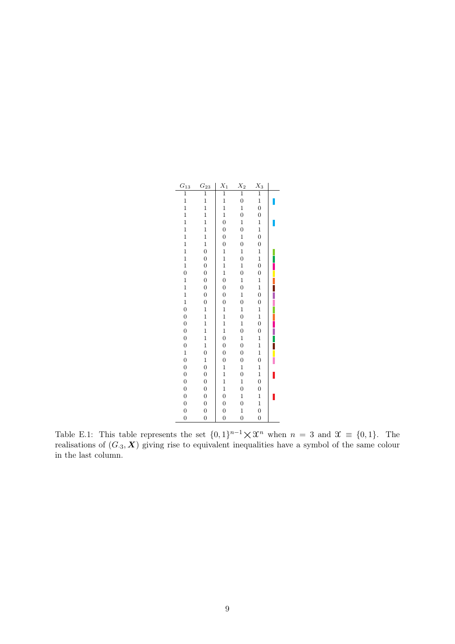<span id="page-8-0"></span>

| $G_{13}$         | $G_{23}$         | $\mathcal{X}_1$  | $X_2$            | $X_3$            |  |
|------------------|------------------|------------------|------------------|------------------|--|
| $\overline{1}$   | $\overline{1}$   | $\overline{1}$   | $\overline{1}$   | $\overline{1}$   |  |
| $\mathbf{1}$     | $\mathbf{1}$     | $\mathbf{1}$     | $\mathbf{0}$     | $\mathbf{1}$     |  |
| $\mathbf{1}$     | $\mathbf{1}$     | $\mathbf{1}$     | $\mathbf{1}$     | $\mathbf{0}$     |  |
| $\mathbf{1}$     | $\mathbf{1}$     | $\mathbf{1}$     | $\overline{0}$   | $\overline{0}$   |  |
| $\mathbf{1}$     | $\mathbf{1}$     | $\overline{0}$   | $\mathbf{1}$     | $\mathbf{1}$     |  |
| $\mathbf{1}$     | $\mathbf{1}$     | $\boldsymbol{0}$ | $\overline{0}$   | $\mathbf{1}$     |  |
| $\mathbf{1}$     | $\mathbf{1}$     | $\boldsymbol{0}$ | $\mathbf{1}$     | $\mathbf{0}$     |  |
| $\mathbf{1}$     | $\mathbf{1}$     | $\mathbf{0}$     | $\overline{0}$   | $\boldsymbol{0}$ |  |
| $\mathbf{1}$     | $\overline{0}$   | $\mathbf{1}$     | $\mathbf{1}$     | $\mathbf 1$      |  |
| $\mathbf{1}$     | $\overline{0}$   | $\mathbf{1}$     | $\overline{0}$   | $\mathbf{1}$     |  |
| $\mathbf{1}$     | $\overline{0}$   | $\mathbf{1}$     | $\mathbf{1}$     | $\mathbf{0}$     |  |
| $\overline{0}$   | $\overline{0}$   | $\mathbf{1}$     | $\overline{0}$   | $\boldsymbol{0}$ |  |
| $\mathbf{1}$     | $\boldsymbol{0}$ | $\overline{0}$   | $\mathbf{1}$     | $\mathbf{1}$     |  |
| $\mathbf{1}$     | $\mathbf{0}$     | $\boldsymbol{0}$ | $\overline{0}$   | $\mathbf{1}$     |  |
| $\mathbf{1}$     | $\overline{0}$   | $\overline{0}$   | $\mathbf{1}$     | $\overline{0}$   |  |
| $\mathbf{1}$     | $\overline{0}$   | $\overline{0}$   | $\overline{0}$   | $\boldsymbol{0}$ |  |
| $\overline{0}$   | $\mathbf{1}$     | $\mathbf{1}$     | $\mathbf{1}$     | $\mathbf{1}$     |  |
| $\overline{0}$   | $\mathbf{1}$     | $\frac{1}{1}$    | $\mathbf{0}$     | $\mathbf{1}$     |  |
| $\boldsymbol{0}$ | $\mathbf{1}$     |                  | $\mathbf{1}$     | $\overline{0}$   |  |
| $\overline{0}$   | $\mathbf{1}$     | $\mathbf{1}$     | $\overline{0}$   | $\boldsymbol{0}$ |  |
| $\overline{0}$   | $\mathbf{1}$     | $\overline{0}$   | $\mathbf{1}$     | $\mathbf{1}$     |  |
| $\overline{0}$   | $\mathbf{1}$     | $\overline{0}$   | $\overline{0}$   | $\mathbf{1}$     |  |
| $\mathbf{1}$     | $\overline{0}$   | $\boldsymbol{0}$ | $\overline{0}$   | $\mathbf{1}$     |  |
| $\overline{0}$   | $\mathbf{1}$     | $\boldsymbol{0}$ | $\overline{0}$   | $\overline{0}$   |  |
| $\overline{0}$   | $\overline{0}$   | $\mathbf{1}$     | $\mathbf{1}$     | $\mathbf{1}$     |  |
| $\overline{0}$   | $\boldsymbol{0}$ | $\mathbf{1}$     | $\boldsymbol{0}$ | $\mathbf{1}$     |  |
| $\overline{0}$   | $\overline{0}$   | $\mathbf{1}$     | $\mathbf{1}$     | $\overline{0}$   |  |
| $\overline{0}$   | $\boldsymbol{0}$ | $\mathbf{1}$     | $\overline{0}$   | $\boldsymbol{0}$ |  |
| $\boldsymbol{0}$ | $\overline{0}$   | $\boldsymbol{0}$ | $\mathbf{1}$     | $\mathbf{1}$     |  |
| $\overline{0}$   | $\overline{0}$   | $\overline{0}$   | $\mathbf{0}$     | $\mathbf{1}$     |  |
| $\overline{0}$   | $\overline{0}$   | $\overline{0}$   | $\mathbf{1}$     | $\overline{0}$   |  |
| $\overline{0}$   | $\overline{0}$   | $\overline{0}$   | $\overline{0}$   | $\overline{0}$   |  |

Table E.1: This table represents the set  $\{0,1\}^{n-1} \times \mathcal{X}^n$  when  $n = 3$  and  $\mathcal{X} \equiv \{0,1\}$ . The realisations of  $(G_{\cdot3}, \mathbf{X})$  giving rise to equivalent inequalities have a symbol of the same colour in the last column.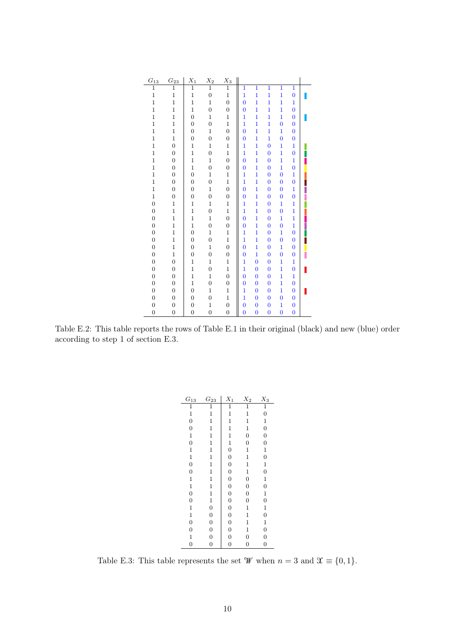<span id="page-9-0"></span>

| $G_{13}$         | $G_{23}$         | $X_1$            | $\mathcal{X}_2$  | $X_3$            |                |                |                |                |                |  |
|------------------|------------------|------------------|------------------|------------------|----------------|----------------|----------------|----------------|----------------|--|
| $\overline{1}$   | $\overline{1}$   | $\overline{1}$   | $\overline{1}$   | $\overline{1}$   | $\mathbf{1}$   | $\overline{1}$ | $\overline{1}$ | $\overline{1}$ | $\overline{1}$ |  |
| $\mathbf 1$      | $\mathbf{1}$     | $\mathbf{1}$     | $\overline{0}$   | $\mathbf{1}$     | $\mathbf{1}$   | $\mathbf{1}$   | $\mathbf{1}$   | $\mathbf{1}$   | $\bf{0}$       |  |
| $\mathbf{1}$     | $\mathbf{1}$     | $\mathbf{1}$     | $\mathbf{1}$     | $\overline{0}$   | $\overline{0}$ | $\mathbf{1}$   | $\mathbf{1}$   | $\mathbf{1}$   | $\mathbf{1}$   |  |
| $\mathbf{1}$     | $\mathbf{1}$     | $\mathbf{1}$     | $\boldsymbol{0}$ | $\boldsymbol{0}$ | $\overline{0}$ | 1              | $\mathbf{1}$   | $\mathbf{1}$   | $\bf{0}$       |  |
| $\mathbf{1}$     | $\mathbf{1}$     | $\overline{0}$   | $\mathbf{1}$     | $\mathbf{1}$     | $\overline{1}$ | $\mathbf{1}$   | $\mathbf{1}$   | $\overline{1}$ | $\bf{0}$       |  |
| $\mathbf{1}$     | $\mathbf{1}$     | $\overline{0}$   | $\overline{0}$   | $\mathbf{1}$     | $\overline{1}$ | $\mathbf{1}$   | $\mathbf{1}$   | $\bf{0}$       | $\bf{0}$       |  |
| $\mathbf{1}$     | $\mathbf{1}$     | $\boldsymbol{0}$ | $\mathbf 1$      | $\boldsymbol{0}$ | $\overline{0}$ | 1              | $\mathbf{1}$   | $\mathbf{1}$   | 0              |  |
| $\mathbf{1}$     | $\mathbf{1}$     | $\overline{0}$   | $\overline{0}$   | $\boldsymbol{0}$ | $\overline{0}$ | 1              | $\overline{1}$ | $\overline{0}$ | $\bf{0}$       |  |
| $\mathbf{1}$     | $\overline{0}$   | $\mathbf{1}$     | $\mathbf{1}$     | $\mathbf{1}$     | $\mathbf{1}$   | $\mathbf{1}$   | $\bf{0}$       | $\mathbf{1}$   | $\mathbf{1}$   |  |
| $\mathbf 1$      | $\boldsymbol{0}$ | $\mathbf{1}$     | $\overline{0}$   | $\mathbf{1}$     | $\overline{1}$ | $\mathbf{1}$   | $\bf{0}$       | $\mathbf{1}$   | $\bf{0}$       |  |
| $\mathbf{1}$     | $\overline{0}$   | $\mathbf{1}$     | $\mathbf{1}$     | $\overline{0}$   | $\overline{0}$ | 1              | $\overline{0}$ | $\mathbf{1}$   | $\mathbf{1}$   |  |
| $\mathbf{1}$     | $\overline{0}$   | $\mathbf{1}$     | $\boldsymbol{0}$ | $\boldsymbol{0}$ | $\overline{0}$ | 1              | $\bf{0}$       | $\mathbf{1}$   | $\bf{0}$       |  |
| $\mathbf 1$      | $\overline{0}$   | $\overline{0}$   | $\mathbf{1}$     | $\mathbf{1}$     | $\overline{1}$ | $\mathbf{1}$   | $\bf{0}$       | $\bf{0}$       | $\mathbf{1}$   |  |
| $\mathbf{1}$     | $\overline{0}$   | $\overline{0}$   | $\overline{0}$   | $\mathbf{1}$     | $\overline{1}$ | $\mathbf{1}$   | $\bf{0}$       | $\overline{0}$ | $\bf{0}$       |  |
| $\mathbf{1}$     | $\boldsymbol{0}$ | $\boldsymbol{0}$ | $\mathbf 1$      | $\boldsymbol{0}$ | $\overline{0}$ | 1              | $\bf{0}$       | $\bf{0}$       | 1              |  |
| $\overline{1}$   | $\overline{0}$   | $\overline{0}$   | $\overline{0}$   | $\boldsymbol{0}$ | $\overline{0}$ | $\mathbf{1}$   | $\bf{0}$       | $\overline{0}$ | $\bf{0}$       |  |
| $\boldsymbol{0}$ | $\mathbf{1}$     | $\mathbf{1}$     | $\mathbf{1}$     | $\mathbf{1}$     | $\mathbf{1}$   | $\mathbf{1}$   | $\bf{0}$       | $\mathbf{1}$   | 1              |  |
| $\overline{0}$   | $\mathbf{1}$     | $\mathbf{1}$     | $\overline{0}$   | $\mathbf{1}$     | $\overline{1}$ | $\mathbf{1}$   | $\bf{0}$       | $\bf{0}$       | $\mathbf{1}$   |  |
| $\overline{0}$   | $\mathbf{1}$     | $\mathbf{1}$     | $\mathbf{1}$     | $\overline{0}$   | $\overline{0}$ | 1              | $\bf{0}$       | $\mathbf{1}$   | $\mathbf{1}$   |  |
| $\overline{0}$   | $\mathbf{1}$     | $\mathbf{1}$     | $\boldsymbol{0}$ | $\boldsymbol{0}$ | $\overline{0}$ | 1              | $\bf{0}$       | $\overline{0}$ | 1              |  |
| $\overline{0}$   | $\mathbf{1}$     | $\overline{0}$   | $\mathbf{1}$     | $\mathbf{1}$     | $\overline{1}$ | $\overline{1}$ | $\bf{0}$       | $\overline{1}$ | $\overline{0}$ |  |
| $\boldsymbol{0}$ | $\mathbf{1}$     | $\overline{0}$   | $\overline{0}$   | $\mathbf{1}$     | $\overline{1}$ | $\mathbf{1}$   | $\bf{0}$       | $\overline{0}$ | $\bf{0}$       |  |
| $\boldsymbol{0}$ | $\mathbf{1}$     | $\overline{0}$   | $\mathbf{1}$     | $\overline{0}$   | $\overline{0}$ | $\mathbf{1}$   | $\overline{0}$ | $\mathbf{1}$   | $\bf{0}$       |  |
| $\boldsymbol{0}$ | $\mathbf{1}$     | $\boldsymbol{0}$ | $\overline{0}$   | $\boldsymbol{0}$ | $\overline{0}$ | $\mathbf{1}$   | $\overline{0}$ | $\overline{0}$ | $\bf{0}$       |  |
| $\overline{0}$   | $\boldsymbol{0}$ | $\mathbf{1}$     | $\mathbf{1}$     | $\mathbf{1}$     | $\overline{1}$ | $\overline{0}$ | $\bf{0}$       | $\mathbf{1}$   | $\mathbf{1}$   |  |
| $\overline{0}$   | $\boldsymbol{0}$ | $\mathbf{1}$     | $\overline{0}$   | $\mathbf{1}$     | $\overline{1}$ | $\overline{0}$ | $\bf{0}$       | $\mathbf{1}$   | $\bf{0}$       |  |
| $\overline{0}$   | $\overline{0}$   | $\mathbf{1}$     | $\mathbf 1$      | $\overline{0}$   | $\overline{0}$ | $\bf{0}$       | $\overline{0}$ | $\mathbf{1}$   | $\mathbf{1}$   |  |
| $\overline{0}$   | $\overline{0}$   | $\mathbf{1}$     | $\boldsymbol{0}$ | $\boldsymbol{0}$ | $\overline{0}$ | $\overline{0}$ | $\bf{0}$       | $\overline{1}$ | $\bf{0}$       |  |
| $\overline{0}$   | $\overline{0}$   | $\overline{0}$   | $\mathbf{1}$     | $\mathbf{1}$     | $\overline{1}$ | $\bf{0}$       | $\bf{0}$       | $\overline{1}$ | $\bf{0}$       |  |
| $\overline{0}$   | $\mathbf{0}$     | $\overline{0}$   | $\boldsymbol{0}$ | $\mathbf{1}$     | $\mathbf{1}$   | $\overline{0}$ | $\bf{0}$       | $\overline{0}$ | $\bf{0}$       |  |
| $\overline{0}$   | $\boldsymbol{0}$ | $\boldsymbol{0}$ | $\mathbf 1$      | $\overline{0}$   | $\overline{0}$ | $\bf{0}$       | $\bf{0}$       | $\mathbf{1}$   | $\bf{0}$       |  |
| $\overline{0}$   | $\overline{0}$   | $\overline{0}$   | $\overline{0}$   | $\boldsymbol{0}$ | $\overline{0}$ | $\overline{0}$ | $\overline{0}$ | $\overline{0}$ | $\bf{0}$       |  |

<span id="page-9-1"></span>Table E.2: This table reports the rows of Table [E.1](#page-8-0) in their original (black) and new (blue) order according to step 1 of section [E.3.](#page-7-0)

| $G_{13}$         | $G_{23}$         | $X_1$            | $X_2$            | $X_3$            |
|------------------|------------------|------------------|------------------|------------------|
| $\overline{1}$   | $\overline{1}$   | $\overline{1}$   | $\overline{1}$   | $\overline{1}$   |
| $\mathbf{1}$     | $\mathbf{1}$     | $\mathbf 1$      | $\mathbf 1$      | $\boldsymbol{0}$ |
| $\overline{0}$   | $\mathbf{1}$     | $\mathbf{1}$     | $\mathbf{1}$     | $\mathbf{1}$     |
| $\boldsymbol{0}$ | $\mathbf 1$      | $\,1$            | $\mathbf 1$      | $\overline{0}$   |
| $\mathbf{1}$     | $\mathbf 1$      | $\mathbf{1}$     | $\overline{0}$   | $\overline{0}$   |
| $\overline{0}$   | $\mathbf{1}$     | $\mathbf{1}$     | $\overline{0}$   | $\overline{0}$   |
| $\mathbf{1}$     | $\,1$            | $\boldsymbol{0}$ | $\mathbf 1$      | $\mathbf 1$      |
| $\mathbf{1}$     | $\mathbf{1}$     | $\boldsymbol{0}$ | $\mathbf 1$      | $\overline{0}$   |
| $\overline{0}$   | $\mathbf{1}$     | $\overline{0}$   | $\mathbf 1$      | $\,1$            |
| $\mathbf{0}$     | $\mathbf{1}$     | $\boldsymbol{0}$ | $\mathbf{1}$     | $\boldsymbol{0}$ |
| $\mathbf{1}$     | $\mathbf 1$      | $\boldsymbol{0}$ | $\overline{0}$   | $\mathbf 1$      |
| $\mathbf{1}$     | $\mathbf{1}$     | $\boldsymbol{0}$ | $\boldsymbol{0}$ | $\overline{0}$   |
| $\overline{0}$   | $\mathbf 1$      | $\boldsymbol{0}$ | $\boldsymbol{0}$ | $\,1$            |
| $\mathbf{0}$     | $\mathbf{1}$     | $\boldsymbol{0}$ | $\boldsymbol{0}$ | $\overline{0}$   |
| $\mathbf{1}$     | $\boldsymbol{0}$ | $\boldsymbol{0}$ | $\mathbf{1}$     | 1                |
| $\mathbf{1}$     | $\boldsymbol{0}$ | $\boldsymbol{0}$ | $\mathbf{1}$     | $\overline{0}$   |
| $\boldsymbol{0}$ | $\mathbf{0}$     | $\boldsymbol{0}$ | $\mathbf 1$      | $\mathbf 1$      |
| $\mathbf{0}$     | $\overline{0}$   | $\overline{0}$   | $\mathbf 1$      | $\overline{0}$   |
| $\mathbf{1}$     | $\boldsymbol{0}$ | $\boldsymbol{0}$ | $\boldsymbol{0}$ | $\boldsymbol{0}$ |
| $\overline{0}$   | $\overline{0}$   | $\overline{0}$   | $\overline{0}$   | $\overline{0}$   |

Table E.3: This table represents the set  $\mathcal W$  when  $n = 3$  and  $\mathfrak X \equiv \{0,1\}$ .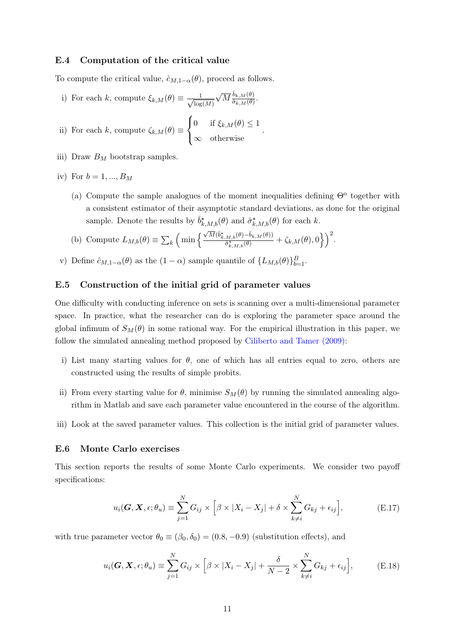#### <span id="page-10-0"></span>E.4 Computation of the critical value

To compute the critical value,  $\hat{c}_{M,1-\alpha}(\theta)$ , proceed as follows.

<span id="page-10-4"></span>i) For each k, compute  $\xi_{k,M}(\theta) \equiv \frac{1}{\sqrt{2\pi}}$  $log(M)$ √  $\overline{M}$  $\frac{\overline{b}_{k,M}(\theta)}{\hat{\sigma}_{k,M}(\theta)}$  $\frac{\partial_{k,M}(0)}{\partial_{k,M}(\theta)}$ .

<span id="page-10-3"></span>ii) For each 
$$
k
$$
, compute  $\zeta_{k,M}(\theta) \equiv \begin{cases} 0 & \text{if } \xi_{k,M}(\theta) \leq 1 \\ \infty & \text{otherwise} \end{cases}$ 

- iii) Draw  $B_M$  bootstrap samples.
- iv) For  $b = 1, ..., B_M$ 
	- (a) Compute the sample analogues of the moment inequalities defining  $\Theta^{\circ}$  together with a consistent estimator of their asymptotic standard deviations, as done for the original sample. Denote the results by  $\bar{b}^{\star}_{k,M,b}(\theta)$  and  $\hat{\sigma}^{\star}_{k,M,b}(\theta)$  for each k.

.

- (b) Compute  $L_{M,b}(\theta) \equiv \sum_{k} \left( \min \left\{ \frac{\sqrt{M} (\bar{b}_{k,M,b}^{*}(\theta) \bar{b}_{k,M}(\theta))}{\hat{\sigma}_{k,M,b}^{*}(\theta)} \right) \right)$  $\frac{ \frac{M,b(\theta)-\bar{b}_{k,M}(\theta))}{\hat{\sigma}^*_{k,M,b}(\theta)} + \zeta_{k,M}(\theta),0\Big\}\Big)^2.$
- v) Define  $\hat{c}_{M,1-\alpha}(\theta)$  as the  $(1-\alpha)$  sample quantile of  $\{L_{M,b}(\theta)\}_{b=1}^B$ .

#### E.5 Construction of the initial grid of parameter values

One difficulty with conducting inference on sets is scanning over a multi-dimensional parameter space. In practice, what the researcher can do is exploring the parameter space around the global infimum of  $S_M(\theta)$  in some rational way. For the empirical illustration in this paper, we follow the simulated annealing method proposed by [Ciliberto and Tamer \(2009\):](#page-17-15)

- i) List many starting values for  $\theta$ , one of which has all entries equal to zero, others are constructed using the results of simple probits.
- ii) From every starting value for  $\theta$ , minimise  $S_M(\theta)$  by running the simulated annealing algorithm in Matlab and save each parameter value encountered in the course of the algorithm.
- iii) Look at the saved parameter values. This collection is the initial grid of parameter values.

#### E.6 Monte Carlo exercises

This section reports the results of some Monte Carlo experiments. We consider two payoff specifications:

<span id="page-10-1"></span>
$$
u_i(\mathbf{G}, \mathbf{X}, \epsilon; \theta_u) \equiv \sum_{j=1}^N G_{ij} \times \left[ \beta \times |X_i - X_j| + \delta \times \sum_{k \neq i}^N G_{kj} + \epsilon_{ij} \right],
$$
 (E.17)

with true parameter vector  $\theta_0 \equiv (\beta_0, \delta_0) = (0.8, -0.9)$  (substitution effects), and

<span id="page-10-2"></span>
$$
u_i(\mathbf{G}, \mathbf{X}, \epsilon; \theta_u) \equiv \sum_{j=1}^N G_{ij} \times \left[ \beta \times |X_i - X_j| + \frac{\delta}{N-2} \times \sum_{k \neq i}^N G_{kj} + \epsilon_{ij} \right], \tag{E.18}
$$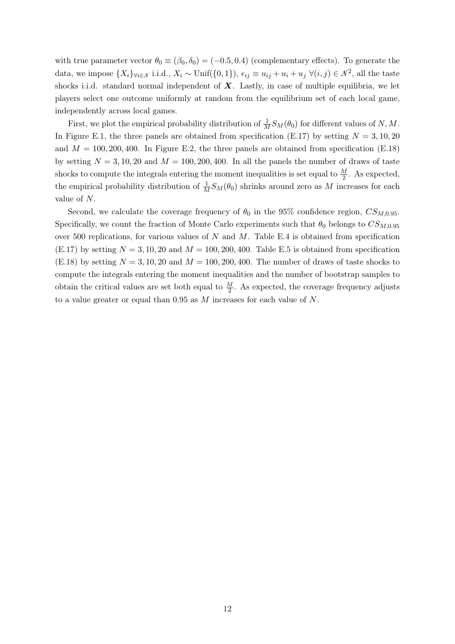with true parameter vector  $\theta_0 \equiv (\beta_0, \delta_0) = (-0.5, 0.4)$  (complementary effects). To generate the data, we impose  $\{X_i\}_{\forall i \in \mathcal{N}}$  i.i.d.,  $X_i \sim \text{Unif}(\{0,1\}), \epsilon_{ij} \equiv u_{ij} + u_i + u_j \ \forall (i,j) \in \mathcal{N}^2$ , all the taste shocks i.i.d. standard normal independent of  $X$ . Lastly, in case of multiple equilibria, we let players select one outcome uniformly at random from the equilibrium set of each local game, independently across local games.

First, we plot the empirical probability distribution of  $\frac{1}{M}S_M(\theta_0)$  for different values of N, M. In Figure [E.1,](#page-12-0) the three panels are obtained from specification [\(E.17\)](#page-10-1) by setting  $N = 3, 10, 20$ and  $M = 100, 200, 400$ . In Figure [E.2,](#page-13-0) the three panels are obtained from specification [\(E.18\)](#page-10-2) by setting  $N = 3, 10, 20$  and  $M = 100, 200, 400$ . In all the panels the number of draws of taste shocks to compute the integrals entering the moment inequalities is set equal to  $\frac{M}{2}$ . As expected, the empirical probability distribution of  $\frac{1}{M}S_M(\theta_0)$  shrinks around zero as M increases for each value of N.

Second, we calculate the coverage frequency of  $\theta_0$  in the 95% confidence region,  $CS_{M,0.95}$ . Specifically, we count the fraction of Monte Carlo experiments such that  $\theta_0$  belongs to  $CS_{M,0.95}$ over 500 replications, for various values of N and M. Table [E.4](#page-14-0) is obtained from specification  $(E.17)$  by setting  $N = 3, 10, 20$  and  $M = 100, 200, 400$ . Table [E.5](#page-14-1) is obtained from specification [\(E.18\)](#page-10-2) by setting  $N = 3, 10, 20$  and  $M = 100, 200, 400$ . The number of draws of taste shocks to compute the integrals entering the moment inequalities and the number of bootstrap samples to obtain the critical values are set both equal to  $\frac{M}{2}$ . As expected, the coverage frequency adjusts to a value greater or equal than 0.95 as M increases for each value of N.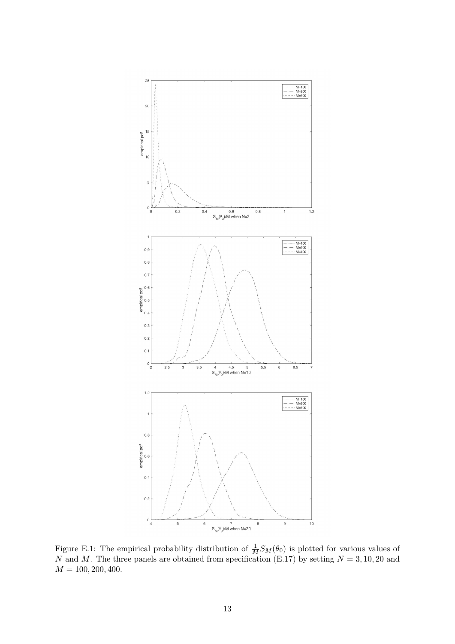<span id="page-12-0"></span>

Figure E.1: The empirical probability distribution of  $\frac{1}{M}S_M(\theta_0)$  is plotted for various values of N and M. The three panels are obtained from specification [\(E.17\)](#page-10-1) by setting  $N = 3, 10, 20$  and  $M = 100, 200, 400.$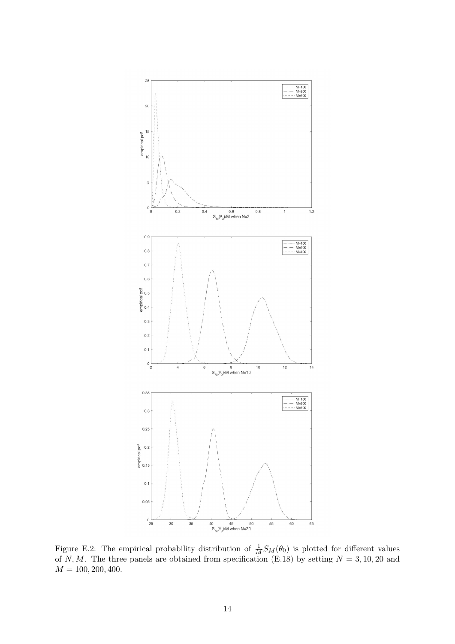<span id="page-13-0"></span>

Figure E.2: The empirical probability distribution of  $\frac{1}{M}S_M(\theta_0)$  is plotted for different values of N, M. The three panels are obtained from specification [\(E.18\)](#page-10-2) by setting  $N = 3, 10, 20$  and  $M = 100, 200, 400.$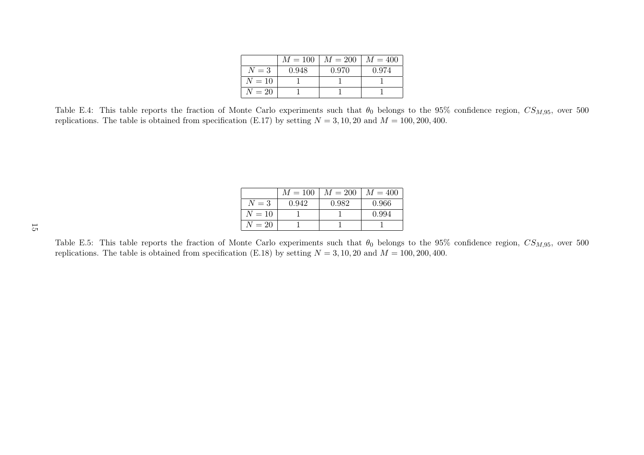|        | $M=100$ | $M=200$ | $M = 400$ |
|--------|---------|---------|-----------|
| $N=3$  | 0.948   | 0.970   | 0.974     |
| $N=10$ |         |         |           |
| $N=20$ |         |         |           |

Table E.4: This table reports the fraction of Monte Carlo experiments such that  $\theta_0$  belongs to the 95% confidence region,  $CS_{M,95}$ , over 500 replications. The table is obtained from specification ([E.17\)](#page-10-3) by setting  $N = 3, 10, 20$  and  $M = 100, 200, 400$ .

|        | $M=100$ | $M = 200$ | $M=400$ |
|--------|---------|-----------|---------|
| $N=3$  | 0.942   | 0.982     | 0.966   |
| $N=10$ |         |           | 0.994   |
| $N=20$ |         |           |         |
|        |         |           |         |

<span id="page-14-1"></span><span id="page-14-0"></span>Table E.5: This table reports the fraction of Monte Carlo experiments such that  $\theta_0$  belongs to the 95% confidence region,  $CS_{M,95}$ , over 500 replications. The table is obtained from specification ([E.18\)](#page-10-4) by setting  $N = 3, 10, 20$  and  $M = 100, 200, 400$ .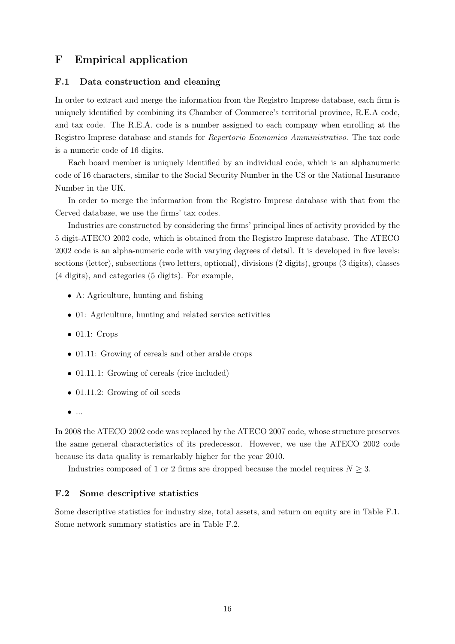# F Empirical application

#### F.1 Data construction and cleaning

In order to extract and merge the information from the Registro Imprese database, each firm is uniquely identified by combining its Chamber of Commerce's territorial province, R.E.A code, and tax code. The R.E.A. code is a number assigned to each company when enrolling at the Registro Imprese database and stands for Repertorio Economico Amministrativo. The tax code is a numeric code of 16 digits.

Each board member is uniquely identified by an individual code, which is an alphanumeric code of 16 characters, similar to the Social Security Number in the US or the National Insurance Number in the UK.

In order to merge the information from the Registro Imprese database with that from the Cerved database, we use the firms' tax codes.

Industries are constructed by considering the firms' principal lines of activity provided by the 5 digit-ATECO 2002 code, which is obtained from the Registro Imprese database. The ATECO 2002 code is an alpha-numeric code with varying degrees of detail. It is developed in five levels: sections (letter), subsections (two letters, optional), divisions (2 digits), groups (3 digits), classes (4 digits), and categories (5 digits). For example,

- A: Agriculture, hunting and fishing
- 01: Agriculture, hunting and related service activities
- $\bullet$  01.1: Crops
- 01.11: Growing of cereals and other arable crops
- 01.11.1: Growing of cereals (rice included)
- 01.11.2: Growing of oil seeds
- $\bullet$  ...

In 2008 the ATECO 2002 code was replaced by the ATECO 2007 code, whose structure preserves the same general characteristics of its predecessor. However, we use the ATECO 2002 code because its data quality is remarkably higher for the year 2010.

Industries composed of 1 or 2 firms are dropped because the model requires  $N \geq 3$ .

#### F.2 Some descriptive statistics

Some descriptive statistics for industry size, total assets, and return on equity are in Table [F.1.](#page-16-0) Some network summary statistics are in Table [F.2.](#page-16-1)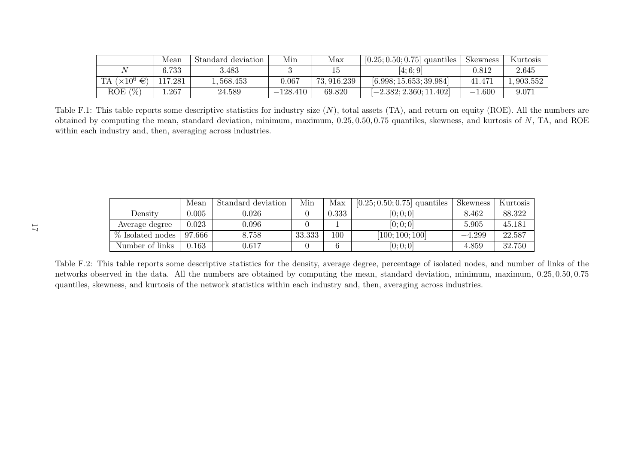|                        | Mean       | Standard deviation | Min        | Max         | $[0.25; 0.50; 0.75]$ quantiles | <b>Skewness</b> | Kurtosis |
|------------------------|------------|--------------------|------------|-------------|--------------------------------|-----------------|----------|
|                        | $\; 6.733$ | 3.483              |            |             | (4; 6; 9)                      | 0.812           | 2.645    |
| TA $(\times 10^6 \in)$ | 17.281     | .568.453           | 0.067      | 73, 916.239 | [6.998; 15.653; 39.984]        | 41.471          | .903.552 |
| (%<br>ROE              | 267        | 24.589             | $-128.410$ | 69.820      | $[-2.382; 2.360; 11.402]$      | l.600<br>$-1$   | 9.071    |

Table F.1: This table reports some descriptive statistics for industry size  $(N)$ , total assets  $(TA)$ , and return on equity  $(ROE)$ . All the numbers are obtained by computing the mean, standard deviation, minimum, maximum, 0.25, 0.50, 0.75 quantiles, skewness, and kurtosis of <sup>N</sup>, TA, and ROEwithin each industry and, then, averaging across industries.

|                  | Mean   | Standard deviation | Min    | Max   | $[0.25; 0.50; 0.75]$ quantiles | Skewness | Kurtosis |
|------------------|--------|--------------------|--------|-------|--------------------------------|----------|----------|
| Density          | 0.005  | 0.026              |        | 0.333 | [0;0;0]                        | 8.462    | 88.322   |
| Average degree   | 0.023  | $0.096\,$          |        |       | [0;0;0]                        | 5.905    | 45.181   |
| % Isolated nodes | 97.666 | 8.758              | 33.333 | 100   | [100; 100; 100]                | $-4.299$ | 22.587   |
| Number of links  | 0.163  | $\rm 0.617$        |        |       | [0;0;0]                        | 4.859    | 32.750   |

<span id="page-16-1"></span><span id="page-16-0"></span>Table F.2: This table reports some descriptive statistics for the density, average degree, percentage of isolated nodes, and number of links of the networks observed in the data. All the numbers are obtained by computing the mean, standard deviation, minimum, maximum, 0.25, 0.50, 0.75quantiles, skewness, and kurtosis of the network statistics within each industry and, then, averaging across industries.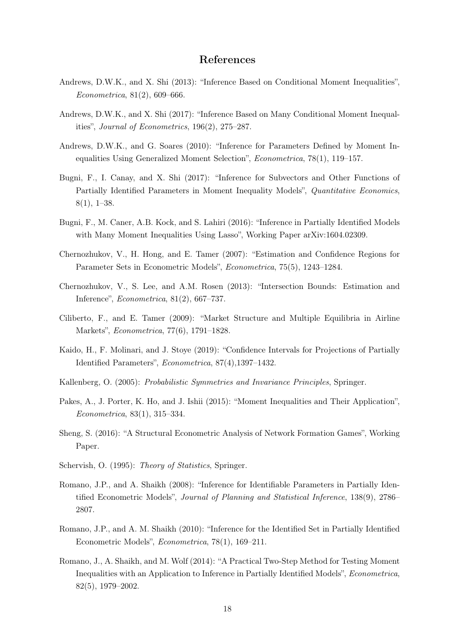### References

- <span id="page-17-9"></span>Andrews, D.W.K., and X. Shi (2013): "Inference Based on Conditional Moment Inequalities", Econometrica, 81(2), 609–666.
- <span id="page-17-11"></span>Andrews, D.W.K., and X. Shi (2017): "Inference Based on Many Conditional Moment Inequalities", Journal of Econometrics, 196(2), 275–287.
- <span id="page-17-3"></span>Andrews, D.W.K., and G. Soares (2010): "Inference for Parameters Defined by Moment Inequalities Using Generalized Moment Selection", Econometrica, 78(1), 119–157.
- <span id="page-17-7"></span>Bugni, F., I. Canay, and X. Shi (2017): "Inference for Subvectors and Other Functions of Partially Identified Parameters in Moment Inequality Models", Quantitative Economics, 8(1), 1–38.
- <span id="page-17-6"></span>Bugni, F., M. Caner, A.B. Kock, and S. Lahiri (2016): "Inference in Partially Identified Models with Many Moment Inequalities Using Lasso", Working Paper arXiv:1604.02309.
- <span id="page-17-0"></span>Chernozhukov, V., H. Hong, and E. Tamer (2007): "Estimation and Confidence Regions for Parameter Sets in Econometric Models", Econometrica, 75(5), 1243–1284.
- <span id="page-17-10"></span>Chernozhukov, V., S. Lee, and A.M. Rosen (2013): "Intersection Bounds: Estimation and Inference", Econometrica, 81(2), 667–737.
- <span id="page-17-15"></span>Ciliberto, F., and E. Tamer (2009): "Market Structure and Multiple Equilibria in Airline Markets", Econometrica, 77(6), 1791–1828.
- <span id="page-17-8"></span>Kaido, H., F. Molinari, and J. Stoye (2019): "Confidence Intervals for Projections of Partially Identified Parameters", Econometrica, 87(4),1397–1432.
- <span id="page-17-13"></span>Kallenberg, O. (2005): Probabilistic Symmetries and Invariance Principles, Springer.
- <span id="page-17-5"></span>Pakes, A., J. Porter, K. Ho, and J. Ishii (2015): "Moment Inequalities and Their Application", Econometrica, 83(1), 315–334.
- <span id="page-17-12"></span>Sheng, S. (2016): "A Structural Econometric Analysis of Network Formation Games", Working Paper.
- <span id="page-17-14"></span>Schervish, O. (1995): *Theory of Statistics*, Springer.
- <span id="page-17-1"></span>Romano, J.P., and A. Shaikh (2008): "Inference for Identifiable Parameters in Partially Identified Econometric Models", Journal of Planning and Statistical Inference, 138(9), 2786– 2807.
- <span id="page-17-2"></span>Romano, J.P., and A. M. Shaikh (2010): "Inference for the Identified Set in Partially Identified Econometric Models", Econometrica, 78(1), 169–211.
- <span id="page-17-4"></span>Romano, J., A. Shaikh, and M. Wolf (2014): "A Practical Two-Step Method for Testing Moment Inequalities with an Application to Inference in Partially Identified Models", Econometrica, 82(5), 1979–2002.